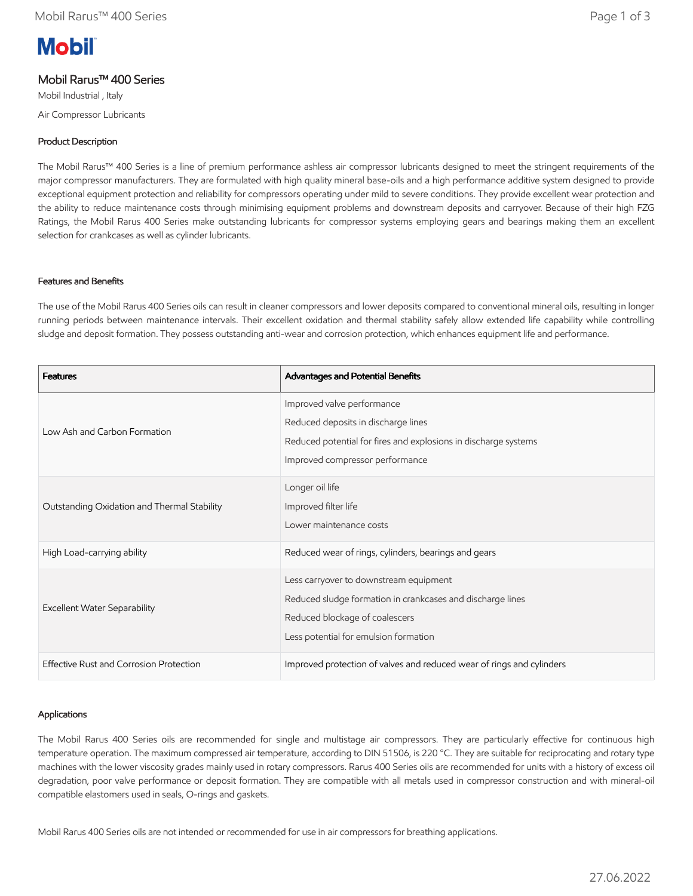# **Mobil**

# Mobil Rarus™ 400 Series

Mobil Industrial , Italy Air Compressor Lubricants

# Product Description

The Mobil Rarus™ 400 Series is a line of premium performance ashless air compressor lubricants designed to meet the stringent requirements of the major compressor manufacturers. They are formulated with high quality mineral base-oils and a high performance additive system designed to provide exceptional equipment protection and reliability for compressors operating under mild to severe conditions. They provide excellent wear protection and the ability to reduce maintenance costs through minimising equipment problems and downstream deposits and carryover. Because of their high FZG Ratings, the Mobil Rarus 400 Series make outstanding lubricants for compressor systems employing gears and bearings making them an excellent selection for crankcases as well as cylinder lubricants.

## Features and Benefits

The use of the Mobil Rarus 400 Series oils can result in cleaner compressors and lower deposits compared to conventional mineral oils, resulting in longer running periods between maintenance intervals. Their excellent oxidation and thermal stability safely allow extended life capability while controlling sludge and deposit formation. They possess outstanding anti-wear and corrosion protection, which enhances equipment life and performance.

| <b>Features</b>                             | Advantages and Potential Benefits                                                                                                                                               |
|---------------------------------------------|---------------------------------------------------------------------------------------------------------------------------------------------------------------------------------|
| Low Ash and Carbon Formation                | Improved valve performance<br>Reduced deposits in discharge lines<br>Reduced potential for fires and explosions in discharge systems<br>Improved compressor performance         |
| Outstanding Oxidation and Thermal Stability | Longer oil life<br>Improved filter life<br>Lower maintenance costs                                                                                                              |
| High Load-carrying ability                  | Reduced wear of rings, cylinders, bearings and gears                                                                                                                            |
| <b>Excellent Water Separability</b>         | Less carryover to downstream equipment<br>Reduced sludge formation in crankcases and discharge lines<br>Reduced blockage of coalescers<br>Less potential for emulsion formation |
| Effective Rust and Corrosion Protection     | Improved protection of valves and reduced wear of rings and cylinders                                                                                                           |

## Applications

The Mobil Rarus 400 Series oils are recommended for single and multistage air compressors. They are particularly effective for continuous high temperature operation. The maximum compressed air temperature, according to DIN 51506, is 220 °C. They are suitable for reciprocating and rotary type machines with the lower viscosity grades mainly used in rotary compressors. Rarus 400 Series oils are recommended for units with a history of excess oil degradation, poor valve performance or deposit formation. They are compatible with all metals used in compressor construction and with mineral-oil compatible elastomers used in seals, O-rings and gaskets.

Mobil Rarus 400 Series oils are not intended or recommended for use in air compressors for breathing applications.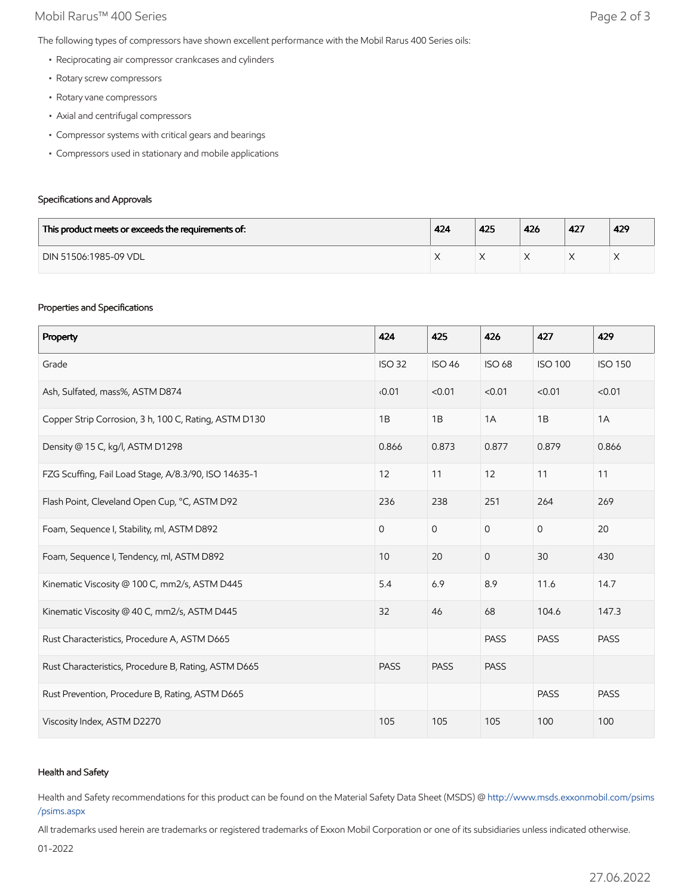## Mobil Rarus™ 400 Series **Page 2 of 3**

The following types of compressors have shown excellent performance with the Mobil Rarus 400 Series oils:

- Reciprocating air compressor crankcases and cylinders
- Rotary screw compressors
- Rotary vane compressors
- Axial and centrifugal compressors
- Compressor systems with critical gears and bearings
- Compressors used in stationary and mobile applications

#### Specifications and Approvals

| This product meets or exceeds the requirements of: | 424 | 425 | 426 | 427 | 429               |
|----------------------------------------------------|-----|-----|-----|-----|-------------------|
| DIN 51506:1985-09 VDL                              |     |     |     |     | $\checkmark$<br>⌒ |

#### Properties and Specifications

| Property                                              | 424           | 425           | 426            | 427            | 429            |
|-------------------------------------------------------|---------------|---------------|----------------|----------------|----------------|
| Grade                                                 | <b>ISO 32</b> | <b>ISO 46</b> | <b>ISO 68</b>  | <b>ISO 100</b> | <b>ISO 150</b> |
| Ash, Sulfated, mass%, ASTM D874                       | 0.01          | < 0.01        | < 0.01         | < 0.01         | < 0.01         |
| Copper Strip Corrosion, 3 h, 100 C, Rating, ASTM D130 | 1B            | 1B            | 1A             | 1B             | 1A             |
| Density @ 15 C, kg/l, ASTM D1298                      | 0.866         | 0.873         | 0.877          | 0.879          | 0.866          |
| FZG Scuffing, Fail Load Stage, A/8.3/90, ISO 14635-1  | 12            | 11            | 12             | 11             | 11             |
| Flash Point, Cleveland Open Cup, °C, ASTM D92         | 236           | 238           | 251            | 264            | 269            |
| Foam, Sequence I, Stability, ml, ASTM D892            | $\mathbf{0}$  | $\mathbf 0$   | $\mathbf 0$    | 0              | 20             |
| Foam, Sequence I, Tendency, ml, ASTM D892             | 10            | 20            | $\overline{0}$ | 30             | 430            |
| Kinematic Viscosity @ 100 C, mm2/s, ASTM D445         | 5.4           | 6.9           | 8.9            | 11.6           | 14.7           |
| Kinematic Viscosity @ 40 C, mm2/s, ASTM D445          | 32            | 46            | 68             | 104.6          | 147.3          |
| Rust Characteristics, Procedure A, ASTM D665          |               |               | <b>PASS</b>    | <b>PASS</b>    | <b>PASS</b>    |
| Rust Characteristics, Procedure B, Rating, ASTM D665  | <b>PASS</b>   | <b>PASS</b>   | <b>PASS</b>    |                |                |
| Rust Prevention, Procedure B, Rating, ASTM D665       |               |               |                | <b>PASS</b>    | <b>PASS</b>    |
| Viscosity Index, ASTM D2270                           | 105           | 105           | 105            | 100            | 100            |

### Health and Safety

Health and Safety recommendations for this product can be found on the Material Safety Data Sheet (MSDS) @ [http://www.msds.exxonmobil.com/psims](http://www.msds.exxonmobil.com/psims/psims.aspx) /psims.aspx

All trademarks used herein are trademarks or registered trademarks of Exxon Mobil Corporation or one of its subsidiaries unless indicated otherwise.